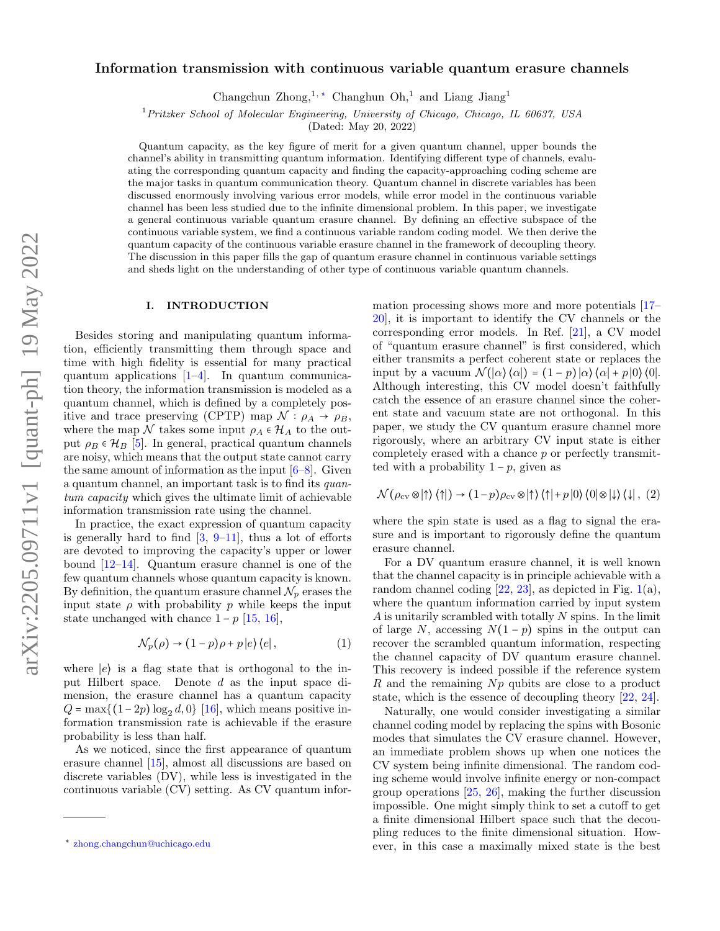# Information transmission with continuous variable quantum erasure channels

Changchun  $\text{Zhong},^{1,*}$  Changhun  $\text{Oh},^{1}$  and Liang Jiang<sup>1</sup>

<sup>1</sup>Pritzker School of Molecular Engineering, University of Chicago, Chicago, IL 60637, USA

(Dated: May 20, 2022)

Quantum capacity, as the key figure of merit for a given quantum channel, upper bounds the channel's ability in transmitting quantum information. Identifying different type of channels, evaluating the corresponding quantum capacity and finding the capacity-approaching coding scheme are the major tasks in quantum communication theory. Quantum channel in discrete variables has been discussed enormously involving various error models, while error model in the continuous variable channel has been less studied due to the infinite dimensional problem. In this paper, we investigate a general continuous variable quantum erasure channel. By defining an effective subspace of the continuous variable system, we find a continuous variable random coding model. We then derive the quantum capacity of the continuous variable erasure channel in the framework of decoupling theory. The discussion in this paper fills the gap of quantum erasure channel in continuous variable settings and sheds light on the understanding of other type of continuous variable quantum channels.

### I. INTRODUCTION

Besides storing and manipulating quantum information, efficiently transmitting them through space and time with high fidelity is essential for many practical quantum applications [\[1–](#page-6-0)[4\]](#page-6-1). In quantum communication theory, the information transmission is modeled as a quantum channel, which is defined by a completely positive and trace preserving (CPTP) map  $\mathcal{N} : \rho_A \to \rho_B$ , where the map N takes some input  $\rho_A \in \mathcal{H}_A$  to the output  $\rho_B \in \mathcal{H}_B$  [\[5\]](#page-6-2). In general, practical quantum channels are noisy, which means that the output state cannot carry the same amount of information as the input  $[6-8]$  $[6-8]$ . Given a quantum channel, an important task is to find its quantum capacity which gives the ultimate limit of achievable information transmission rate using the channel.

In practice, the exact expression of quantum capacity is generally hard to find  $[3, 9-11]$  $[3, 9-11]$  $[3, 9-11]$ , thus a lot of efforts are devoted to improving the capacity's upper or lower bound [\[12](#page-6-8)[–14\]](#page-6-9). Quantum erasure channel is one of the few quantum channels whose quantum capacity is known. By definition, the quantum erasure channel  $\mathcal{N}_p$  erases the input state  $\rho$  with probability p while keeps the input state unchanged with chance  $1 - p$  [\[15,](#page-6-10) [16\]](#page-6-11),

$$
\mathcal{N}_p(\rho) \to (1-p)\rho + p|e\rangle\langle e|,\tag{1}
$$

where  $|e\rangle$  is a flag state that is orthogonal to the input Hilbert space. Denote d as the input space dimension, the erasure channel has a quantum capacity  $Q = \max\{(1-2p)\log_2 d, 0\}$  [\[16\]](#page-6-11), which means positive information transmission rate is achievable if the erasure probability is less than half.

As we noticed, since the first appearance of quantum erasure channel [\[15\]](#page-6-10), almost all discussions are based on discrete variables (DV), while less is investigated in the continuous variable (CV) setting. As CV quantum information processing shows more and more potentials [\[17–](#page-6-12) [20\]](#page-6-13), it is important to identify the CV channels or the corresponding error models. In Ref. [\[21\]](#page-6-14), a CV model of "quantum erasure channel" is first considered, which either transmits a perfect coherent state or replaces the input by a vacuum  $\mathcal{N}(\alpha) \langle \alpha | \alpha \rangle = (1-p) \langle \alpha | \alpha \rangle + p \langle 0 | \alpha \rangle$ Although interesting, this CV model doesn't faithfully catch the essence of an erasure channel since the coherent state and vacuum state are not orthogonal. In this paper, we study the CV quantum erasure channel more rigorously, where an arbitrary CV input state is either completely erased with a chance p or perfectly transmitted with a probability  $1 - p$ , given as

$$
\mathcal{N}(\rho_{\text{cv}}\otimes|\uparrow\rangle\langle\uparrow|)\rightarrow(1-p)\rho_{\text{cv}}\otimes|\uparrow\rangle\langle\uparrow|+p|0\rangle\langle0|\otimes|\downarrow\rangle\langle\downarrow|,\ (2)
$$

where the spin state is used as a flag to signal the erasure and is important to rigorously define the quantum erasure channel.

For a DV quantum erasure channel, it is well known that the channel capacity is in principle achievable with a random channel coding  $[22, 23]$  $[22, 23]$  $[22, 23]$ , as depicted in Fig. [1\(](#page-1-0)a), where the quantum information carried by input system A is unitarily scrambled with totally N spins. In the limit of large N, accessing  $N(1-p)$  spins in the output can recover the scrambled quantum information, respecting the channel capacity of DV quantum erasure channel. This recovery is indeed possible if the reference system  $R$  and the remaining  $Np$  qubits are close to a product state, which is the essence of decoupling theory [\[22,](#page-6-15) [24\]](#page-7-1).

Naturally, one would consider investigating a similar channel coding model by replacing the spins with Bosonic modes that simulates the CV erasure channel. However, an immediate problem shows up when one notices the CV system being infinite dimensional. The random coding scheme would involve infinite energy or non-compact group operations [\[25,](#page-7-2) [26\]](#page-7-3), making the further discussion impossible. One might simply think to set a cutoff to get a finite dimensional Hilbert space such that the decoupling reduces to the finite dimensional situation. However, in this case a maximally mixed state is the best

<span id="page-0-0"></span><sup>∗</sup> [zhong.changchun@uchicago.edu](mailto:zhong.changchun@uchicago.edu)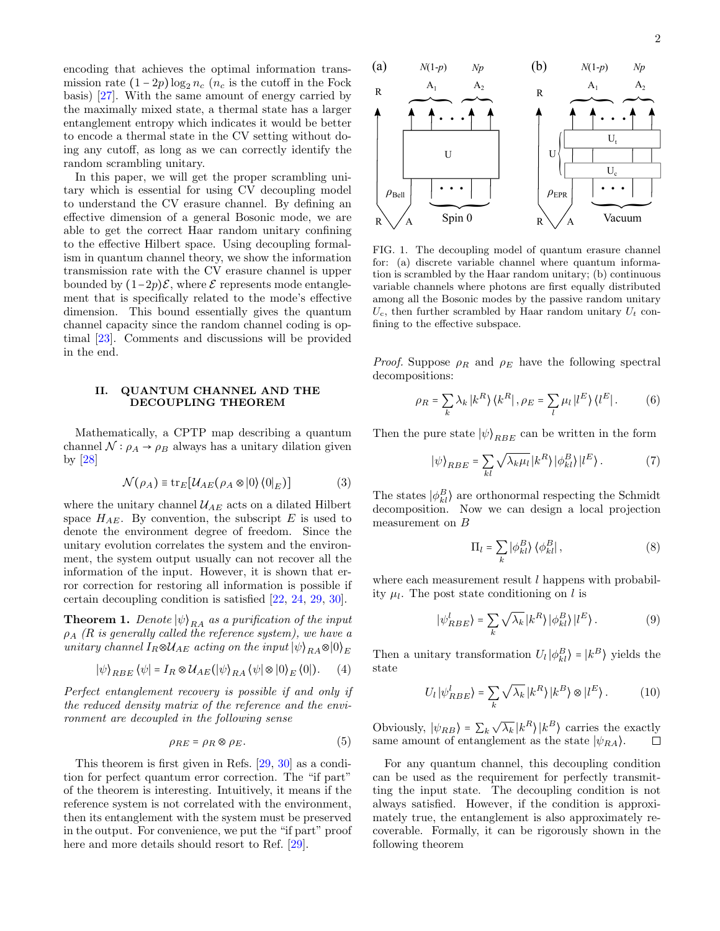encoding that achieves the optimal information transmission rate  $(1 - 2p) \log_2 n_c$  ( $n_c$  is the cutoff in the Fock basis) [\[27\]](#page-7-4). With the same amount of energy carried by the maximally mixed state, a thermal state has a larger entanglement entropy which indicates it would be better to encode a thermal state in the CV setting without doing any cutoff, as long as we can correctly identify the random scrambling unitary.

In this paper, we will get the proper scrambling unitary which is essential for using CV decoupling model to understand the CV erasure channel. By defining an effective dimension of a general Bosonic mode, we are able to get the correct Haar random unitary confining to the effective Hilbert space. Using decoupling formalism in quantum channel theory, we show the information transmission rate with the CV erasure channel is upper bounded by  $(1-2p)\mathcal{E}$ , where  $\mathcal E$  represents mode entanglement that is specifically related to the mode's effective dimension. This bound essentially gives the quantum channel capacity since the random channel coding is optimal [\[23\]](#page-7-0). Comments and discussions will be provided in the end.

#### II. QUANTUM CHANNEL AND THE DECOUPLING THEOREM

Mathematically, a CPTP map describing a quantum channel  $\mathcal{N}$  :  $\rho_A \rightarrow \rho_B$  always has a unitary dilation given by [\[28\]](#page-7-5)

$$
\mathcal{N}(\rho_A) \equiv \text{tr}_E[\mathcal{U}_{AE}(\rho_A \otimes |0\rangle\langle 0|_E)] \tag{3}
$$

where the unitary channel  $\mathcal{U}_{AE}$  acts on a dilated Hilbert space  $H_{AE}$ . By convention, the subscript E is used to denote the environment degree of freedom. Since the unitary evolution correlates the system and the environment, the system output usually can not recover all the information of the input. However, it is shown that error correction for restoring all information is possible if certain decoupling condition is satisfied [\[22,](#page-6-15) [24,](#page-7-1) [29,](#page-7-6) [30\]](#page-7-7).

**Theorem 1.** Denote  $|\psi\rangle_{RA}$  as a purification of the input  $\rho_A$  (R is generally called the reference system), we have a unitary channel  $I_R \otimes \mathcal{U}_{AE}$  acting on the input  $|\psi\rangle_{RA} \otimes |0\rangle_E$ 

$$
|\psi\rangle_{RBE} \langle \psi| = I_R \otimes \mathcal{U}_{AE} (|\psi\rangle_{RA} \langle \psi| \otimes |0\rangle_E \langle 0|). \tag{4}
$$

Perfect entanglement recovery is possible if and only if the reduced density matrix of the reference and the environment are decoupled in the following sense

$$
\rho_{RE} = \rho_R \otimes \rho_E. \tag{5}
$$

This theorem is first given in Refs. [\[29,](#page-7-6) [30\]](#page-7-7) as a condition for perfect quantum error correction. The "if part" of the theorem is interesting. Intuitively, it means if the reference system is not correlated with the environment, then its entanglement with the system must be preserved in the output. For convenience, we put the "if part" proof here and more details should resort to Ref. [\[29\]](#page-7-6).



<span id="page-1-0"></span>FIG. 1. The decoupling model of quantum erasure channel for: (a) discrete variable channel where quantum information is scrambled by the Haar random unitary; (b) continuous variable channels where photons are first equally distributed among all the Bosonic modes by the passive random unitary  $U_c$ , then further scrambled by Haar random unitary  $U_t$  confining to the effective subspace.

*Proof.* Suppose  $\rho_R$  and  $\rho_E$  have the following spectral decompositions:

$$
\rho_R = \sum_k \lambda_k |k^R\rangle \langle k^R|, \rho_E = \sum_l \mu_l |l^E\rangle \langle l^E|.
$$
 (6)

Then the pure state  $|\psi\rangle_{BBE}$  can be written in the form

$$
|\psi\rangle_{RBE} = \sum_{kl} \sqrt{\lambda_k \mu_l} |k^R\rangle |\phi^B_{kl}\rangle |l^E\rangle. \tag{7}
$$

The states  $|\phi_{kl}^B\rangle$  are orthonormal respecting the Schmidt decomposition. Now we can design a local projection measurement on B

$$
\Pi_l = \sum_k |\phi_{kl}^B\rangle \langle \phi_{kl}^B|,\tag{8}
$$

where each measurement result  $l$  happens with probability  $\mu_l$ . The post state conditioning on l is

$$
|\psi_{RBE}^{l}\rangle = \sum_{k} \sqrt{\lambda_{k}} |k^{R}\rangle |\phi_{kl}^{B}\rangle |l^{E}\rangle. \tag{9}
$$

Then a unitary transformation  $U_l |\phi_{kl}^B\rangle = |k^B\rangle$  yields the state

$$
U_l |\psi_{RBE}^l\rangle = \sum_k \sqrt{\lambda_k} |k^R\rangle |k^B\rangle \otimes |l^E\rangle. \tag{10}
$$

Obviously,  $|\psi_{RB}\rangle = \sum_{k} \sqrt{\lambda_k} |k^R\rangle |k^B\rangle$  carries the exactly same amount of entanglement as the state  $|\psi_{RA}\rangle$ .  $\Box$ 

For any quantum channel, this decoupling condition can be used as the requirement for perfectly transmitting the input state. The decoupling condition is not always satisfied. However, if the condition is approximately true, the entanglement is also approximately recoverable. Formally, it can be rigorously shown in the following theorem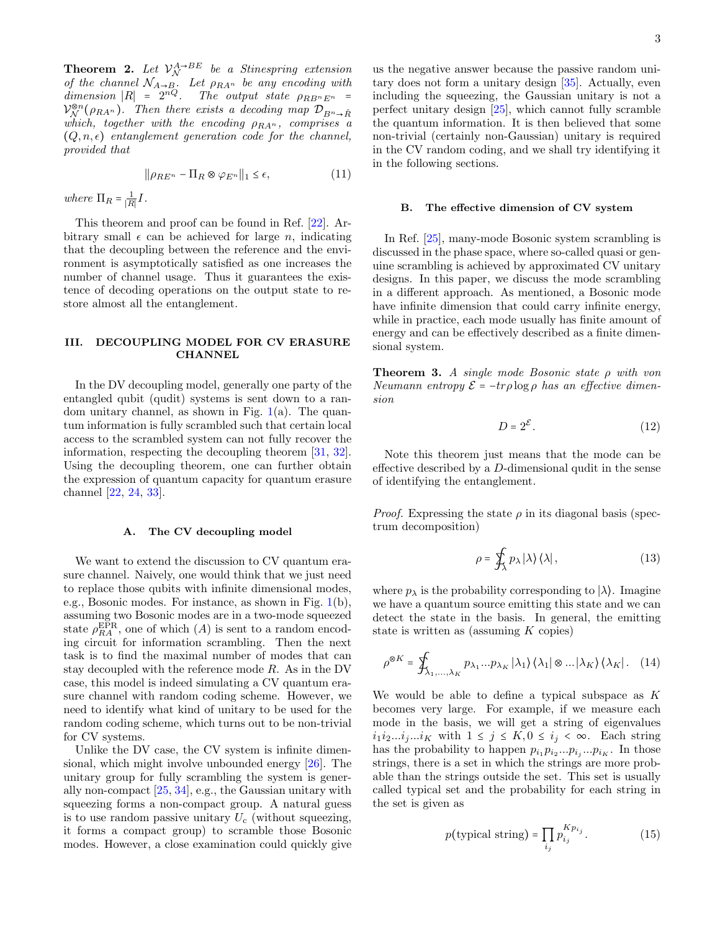**Theorem 2.** Let  $V_{\mathcal{N}}^{A\rightarrow BE}$  be a Stinespring extension of the channel  $\mathcal{N}_{A\rightarrow B}$ . Let  $\rho_{RA^n}$  be any encoding with dimension  $|R| = 2^{nQ}$ . The output state  $\rho_{RB^n E^n}$  =  $\mathcal{V}_{\mathcal{N}}^{\otimes n}(\rho_{R A^n})$ . Then there exists a decoding map  $\mathcal{D}_{B^n\rightarrow \hat{R}}$ which, together with the encoding  $\rho_{RA^n}$ , comprises a  $(Q, n, \epsilon)$  entanglement generation code for the channel, provided that

$$
\|\rho_{RE^n} - \Pi_R \otimes \varphi_{E^n}\|_1 \le \epsilon,\tag{11}
$$

where  $\Pi_R = \frac{1}{|R|}I$ .

This theorem and proof can be found in Ref. [\[22\]](#page-6-15). Arbitrary small  $\epsilon$  can be achieved for large *n*, indicating that the decoupling between the reference and the environment is asymptotically satisfied as one increases the number of channel usage. Thus it guarantees the existence of decoding operations on the output state to restore almost all the entanglement.

# III. DECOUPLING MODEL FOR CV ERASURE **CHANNEL**

In the DV decoupling model, generally one party of the entangled qubit (qudit) systems is sent down to a random unitary channel, as shown in Fig.  $1(a)$  $1(a)$ . The quantum information is fully scrambled such that certain local access to the scrambled system can not fully recover the information, respecting the decoupling theorem [\[31,](#page-7-8) [32\]](#page-7-9). Using the decoupling theorem, one can further obtain the expression of quantum capacity for quantum erasure channel [\[22,](#page-6-15) [24,](#page-7-1) [33\]](#page-7-10).

#### A. The CV decoupling model

We want to extend the discussion to CV quantum erasure channel. Naively, one would think that we just need to replace those qubits with infinite dimensional modes, e.g., Bosonic modes. For instance, as shown in Fig. [1\(](#page-1-0)b), assuming two Bosonic modes are in a two-mode squeezed state  $\rho_{RA}^{EPR}$ , one of which  $(A)$  is sent to a random encoding circuit for information scrambling. Then the next task is to find the maximal number of modes that can stay decoupled with the reference mode R. As in the DV case, this model is indeed simulating a CV quantum erasure channel with random coding scheme. However, we need to identify what kind of unitary to be used for the random coding scheme, which turns out to be non-trivial for CV systems.

Unlike the DV case, the CV system is infinite dimensional, which might involve unbounded energy [\[26\]](#page-7-3). The unitary group for fully scrambling the system is generally non-compact [\[25,](#page-7-2) [34\]](#page-7-11), e.g., the Gaussian unitary with squeezing forms a non-compact group. A natural guess is to use random passive unitary  $U_c$  (without squeezing, it forms a compact group) to scramble those Bosonic modes. However, a close examination could quickly give

us the negative answer because the passive random unitary does not form a unitary design [\[35\]](#page-7-12). Actually, even including the squeezing, the Gaussian unitary is not a perfect unitary design [\[25\]](#page-7-2), which cannot fully scramble the quantum information. It is then believed that some non-trivial (certainly non-Gaussian) unitary is required in the CV random coding, and we shall try identifying it in the following sections.

#### B. The effective dimension of CV system

In Ref. [\[25\]](#page-7-2), many-mode Bosonic system scrambling is discussed in the phase space, where so-called quasi or genuine scrambling is achieved by approximated CV unitary designs. In this paper, we discuss the mode scrambling in a different approach. As mentioned, a Bosonic mode have infinite dimension that could carry infinite energy, while in practice, each mode usually has finite amount of energy and can be effectively described as a finite dimensional system.

**Theorem 3.** A single mode Bosonic state  $\rho$  with von Neumann entropy  $\mathcal{E} = -tr\rho \log \rho$  has an effective dimension

$$
D = 2^{\mathcal{E}}.\tag{12}
$$

Note this theorem just means that the mode can be effective described by a D-dimensional qudit in the sense of identifying the entanglement.

*Proof.* Expressing the state  $\rho$  in its diagonal basis (spectrum decomposition)

$$
\rho = \oint_{\lambda} p_{\lambda} |\lambda\rangle \langle \lambda|, \qquad (13)
$$

where  $p_{\lambda}$  is the probability corresponding to  $|\lambda\rangle$ . Imagine we have a quantum source emitting this state and we can detect the state in the basis. In general, the emitting state is written as (assuming  $K$  copies)

$$
\rho^{\otimes K} = \oint_{\lambda_1, ..., \lambda_K} p_{\lambda_1} ... p_{\lambda_K} |\lambda_1\rangle \langle \lambda_1| \otimes ... |\lambda_K\rangle \langle \lambda_K|.
$$
 (14)

We would be able to define a typical subspace as  $K$ becomes very large. For example, if we measure each mode in the basis, we will get a string of eigenvalues  $i_1i_2...i_j...i_K$  with  $1 \leq j \leq K, 0 \leq i_j < \infty$ . Each string has the probability to happen  $p_{i_1} p_{i_2} ... p_{i_j} ... p_{i_K}$ . In those strings, there is a set in which the strings are more probable than the strings outside the set. This set is usually called typical set and the probability for each string in the set is given as

<span id="page-2-0"></span>
$$
p(\text{typical string}) = \prod_{i_j} p_{i_j}^{K p_{i_j}}.
$$
 (15)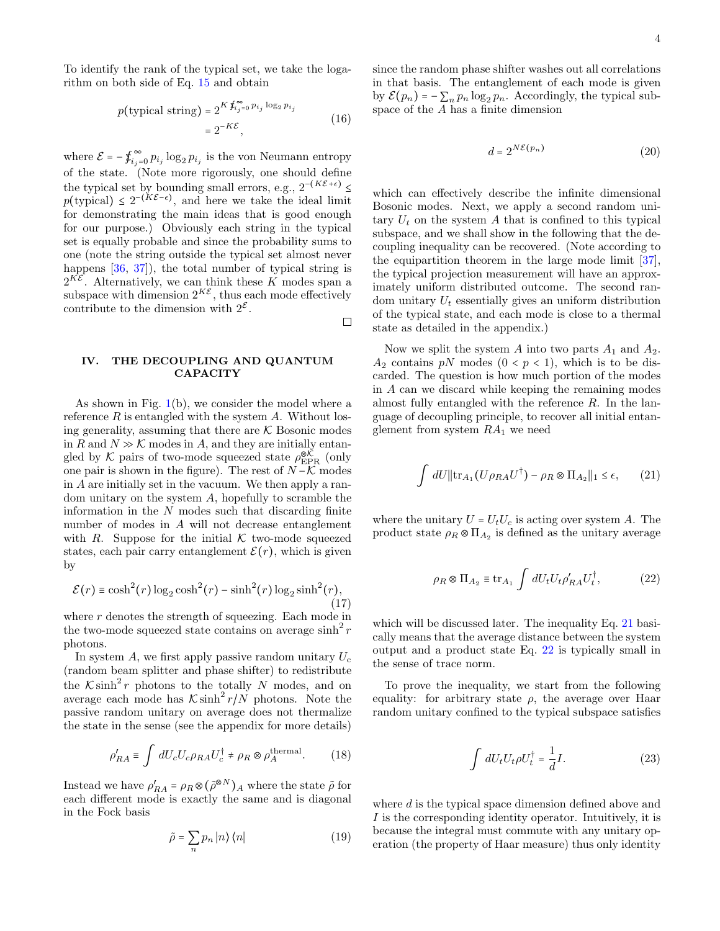To identify the rank of the typical set, we take the logarithm on both side of Eq. [15](#page-2-0) and obtain

$$
p(\text{typical string}) = 2^{K \oint_{i_j=0}^{\infty} p_{i_j} \log_2 p_{i_j}} = 2^{-K \mathcal{E}},
$$
\n(16)

where  $\mathcal{E} = -\oint_{i_j}^{\infty}$  $\sum_{i_j=0}^{\infty} p_{i_j} \log_2 p_{i_j}$  is the von Neumann entropy of the state. (Note more rigorously, one should define the typical set by bounding small errors, e.g.,  $2^{-(K{\mathcal{E}}+\epsilon)} \leq$  $p(\text{typical}) \leq 2^{-(K\mathcal{E}-\epsilon)}$ , and here we take the ideal limit for demonstrating the main ideas that is good enough for our purpose.) Obviously each string in the typical set is equally probable and since the probability sums to one (note the string outside the typical set almost never happens  $[36, 37]$  $[36, 37]$  $[36, 37]$ , the total number of typical string is  $2^{K\mathcal{E}}$ . Alternatively, we can think these K modes span a subspace with dimension  $2^{K\mathcal{E}}$ , thus each mode effectively contribute to the dimension with  $2^{\mathcal{E}}$ .  $\Box$ 

# IV. THE DECOUPLING AND QUANTUM **CAPACITY**

As shown in Fig.  $1(b)$  $1(b)$ , we consider the model where a reference  $R$  is entangled with the system  $A$ . Without losing generality, assuming that there are  $K$  Bosonic modes in R and  $N \gg \mathcal{K}$  modes in A, and they are initially entangled by  $K$  pairs of two-mode squeezed state  $\rho_{\rm EPR}^{\otimes K}$  (only one pair is shown in the figure). The rest of  $N-\mathcal{K}$  modes in A are initially set in the vacuum. We then apply a random unitary on the system A, hopefully to scramble the information in the  $N$  modes such that discarding finite number of modes in A will not decrease entanglement with R. Suppose for the initial  $K$  two-mode squeezed states, each pair carry entanglement  $\mathcal{E}(r)$ , which is given by

$$
\mathcal{E}(r) \equiv \cosh^2(r) \log_2 \cosh^2(r) - \sinh^2(r) \log_2 \sinh^2(r),\tag{17}
$$

where  $r$  denotes the strength of squeezing. Each mode in the two-mode squeezed state contains on average  $\sinh^2 r$ photons.

In system A, we first apply passive random unitary  $U_c$ (random beam splitter and phase shifter) to redistribute the  $K \sinh^2 r$  photons to the totally N modes, and on average each mode has  $\mathcal{K} \sinh^2 r/N$  photons. Note the passive random unitary on average does not thermalize the state in the sense (see the appendix for more details)

$$
\rho'_{RA} \equiv \int dU_c U_c \rho_{RA} U_c^{\dagger} \neq \rho_R \otimes \rho_A^{\text{thermal}}. \tag{18}
$$

Instead we have  $\rho'_{RA} = \rho_R \otimes (\tilde{\rho}^{\otimes N})_A$  where the state  $\tilde{\rho}$  for each different mode is exactly the same and is diagonal in the Fock basis

$$
\tilde{\rho} = \sum_{n} p_n |n\rangle \langle n| \tag{19}
$$

since the random phase shifter washes out all correlations in that basis. The entanglement of each mode is given by  $\mathcal{E}(p_n) = -\sum_n p_n \log_2 p_n$ . Accordingly, the typical subspace of the A has a finite dimension

$$
d = 2^{N\mathcal{E}(p_n)}\tag{20}
$$

which can effectively describe the infinite dimensional Bosonic modes. Next, we apply a second random unitary  $U_t$  on the system A that is confined to this typical subspace, and we shall show in the following that the decoupling inequality can be recovered. (Note according to the equipartition theorem in the large mode limit [\[37\]](#page-7-14), the typical projection measurement will have an approximately uniform distributed outcome. The second random unitary  $U_t$  essentially gives an uniform distribution of the typical state, and each mode is close to a thermal state as detailed in the appendix.)

Now we split the system A into two parts  $A_1$  and  $A_2$ .  $A_2$  contains pN modes  $(0 < p < 1)$ , which is to be discarded. The question is how much portion of the modes in A can we discard while keeping the remaining modes almost fully entangled with the reference  $R$ . In the language of decoupling principle, to recover all initial entanglement from system  $RA_1$  we need

<span id="page-3-0"></span>
$$
\int dU \|\text{tr}_{A_1}(U\rho_{RA}U^{\dagger}) - \rho_R \otimes \Pi_{A_2}\|_1 \le \epsilon, \qquad (21)
$$

where the unitary  $U = U_t U_c$  is acting over system A. The product state  $\rho_R \otimes \Pi_{A_2}$  is defined as the unitary average

<span id="page-3-1"></span>
$$
\rho_R \otimes \Pi_{A_2} \equiv \text{tr}_{A_1} \int dU_t U_t \rho'_{RA} U_t^{\dagger}, \qquad (22)
$$

which will be discussed later. The inequality Eq. [21](#page-3-0) basically means that the average distance between the system output and a product state Eq. [22](#page-3-1) is typically small in the sense of trace norm.

To prove the inequality, we start from the following equality: for arbitrary state  $\rho$ , the average over Haar random unitary confined to the typical subspace satisfies

$$
\int dU_t U_t \rho U_t^\dagger = \frac{1}{d} I. \tag{23}
$$

where d is the typical space dimension defined above and I is the corresponding identity operator. Intuitively, it is because the integral must commute with any unitary operation (the property of Haar measure) thus only identity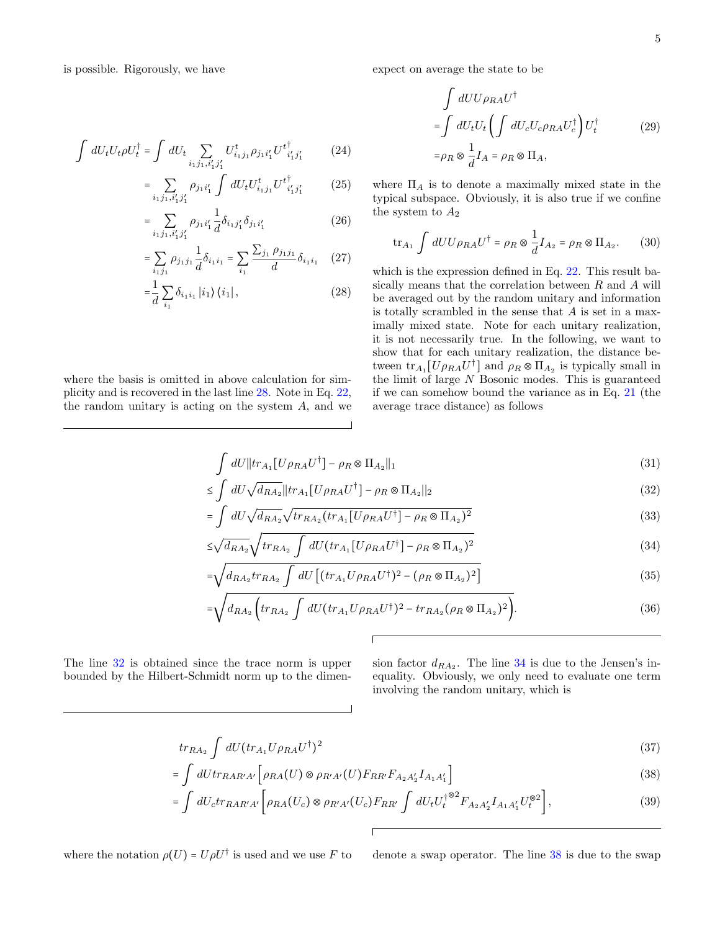is possible. Rigorously, we have

$$
\int dU_t U_t \rho U_t^{\dagger} = \int dU_t \sum_{i_1 j_1, i'_1 j'_1} U_{i_1 j_1}^t \rho_{j_1 i'_1} U_{i'_1 j'_1}^{t^{\dagger}} \tag{24}
$$

$$
=\sum_{i_1,j_1,i'_1,j'_1}\rho_{j_1i'_1}\int dU_tU_{i_1j_1}^tU_{i'_1j'_1}^{t^{\dagger}}\qquad (25)
$$

$$
=\sum_{i_1,j_1,i'_1,j'_1}\rho_{j_1i'_1}\frac{1}{d}\delta_{i_1j'_1}\delta_{j_1i'_1}\tag{26}
$$

$$
= \sum_{i_1 j_1} \rho_{j_1 j_1} \frac{1}{d} \delta_{i_1 i_1} = \sum_{i_1} \frac{\sum_{j_1} \rho_{j_1 j_1}}{d} \delta_{i_1 i_1} \quad (27)
$$

$$
=\frac{1}{d} \sum_{i_1} \delta_{i_1 i_1} |i_1\rangle \langle i_1|, \qquad (28)
$$

where the basis is omitted in above calculation for simplicity and is recovered in the last line [28.](#page-4-0) Note in Eq. [22,](#page-3-1) the random unitary is acting on the system  $A$ , and we expect on average the state to be

$$
\int dU U \rho_{RA} U^{\dagger}
$$
\n
$$
= \int dU_t U_t \left( \int dU_c U_c \rho_{RA} U_c^{\dagger} \right) U_t^{\dagger}
$$
\n
$$
= \rho_R \otimes \frac{1}{d} I_A = \rho_R \otimes \Pi_A,
$$
\n(29)

where  $\Pi_A$  is to denote a maximally mixed state in the typical subspace. Obviously, it is also true if we confine the system to  $A_2$ 

$$
\text{tr}_{A_1} \int dU U \rho_{RA} U^{\dagger} = \rho_R \otimes \frac{1}{d} I_{A_2} = \rho_R \otimes \Pi_{A_2}.
$$
 (30)

<span id="page-4-0"></span>which is the expression defined in Eq. [22.](#page-3-1) This result basically means that the correlation between  $R$  and  $A$  will be averaged out by the random unitary and information is totally scrambled in the sense that  $A$  is set in a maximally mixed state. Note for each unitary realization, it is not necessarily true. In the following, we want to show that for each unitary realization, the distance between  $tr_{A_1}[U\rho_{RA}U^{\dagger}]$  and  $\rho_R \otimes \Pi_{A_2}$  is typically small in the limit of large  $N$  Bosonic modes. This is guaranteed if we can somehow bound the variance as in Eq. [21](#page-3-0) (the average trace distance) as follows

$$
\int dU \left\| \operatorname{tr}_{A_1} \left[ U \rho_{RA} U^{\dagger} \right] - \rho_R \otimes \Pi_{A_2} \right\|_1 \tag{31}
$$

$$
\leq \int dU \sqrt{d_{RA_2}} ||tr_{A_1}[U \rho_{RA} U^{\dagger}] - \rho_R \otimes \Pi_{A_2}||_2
$$
\n
$$
\int \text{d} \tau = \sqrt{1 - \left(\frac{1}{\sqrt{1 - \left(\frac{1}{\sqrt{1 - \left(\frac{1}{\sqrt{1 - \left(\frac{1}{\sqrt{1 - \left(\frac{1}{\sqrt{1 - \left(\frac{1}{\sqrt{1 - \left(\frac{1}{\sqrt{1 - \left(\frac{1}{\sqrt{1 - \left(\frac{1}{\sqrt{1 - \left(\frac{1}{\sqrt{1 - \left(\frac{1}{\sqrt{1 - \left(\frac{1}{\sqrt{1 - \left(\frac{1}{\sqrt{1 - \left(\frac{1}{\sqrt{1 - \left(\frac{1}{\sqrt{1 - \left(\frac{1}{\sqrt{1 - \left(\frac{1}{\sqrt{1 - \left(\frac{1}{\sqrt{1 - \left(\frac{1}{\sqrt{1 - \left(\frac{1}{\sqrt{1 - \left(\frac{1}{\sqrt{1 - \left(\frac{1}{\sqrt{1 - \left(\frac{1}{\sqrt{1 - \left(\frac{1}{\sqrt{1 - \left(\frac{1}{\sqrt{1 - \left(\frac{1}{\sqrt{1 - \left(1 + \left(1\right)\left(1\right)\right)}\right)}\right)}\right)}}}}rightrightrightrightrightrightright}}}}})^2})
$$
\n
$$
\tag{32}
$$

$$
= \int dU \sqrt{d_{RA_2}} \sqrt{tr_{RA_2}(tr_{A_1}[U\rho_{RA}U^{\dagger}] - \rho_R \otimes \Pi_{A_2})^2}
$$
\n(33)

$$
\leq \sqrt{d_{RA_2}} \sqrt{tr_{RA_2} \int dU (tr_{A_1} [U \rho_{RA} U^{\dagger}] - \rho_R \otimes \Pi_{A_2})^2}
$$
\n(34)

$$
=\sqrt{d_{RA_2}tr_{RA_2}\int dU\left[ (tr_{A_1}U\rho_{RA}U^{\dagger})^2 - (\rho_R\otimes\Pi_{A_2})^2\right]}\tag{35}
$$

$$
=\sqrt{d_{RA_2}\left(tr_{RA_2}\int dU(tr_{A_1}U\rho_{RA}U^{\dagger})^2 - tr_{RA_2}(\rho_R\otimes\Pi_{A_2})^2\right)}.
$$
 (36)

The line [32](#page-4-1) is obtained since the trace norm is upper bounded by the Hilbert-Schmidt norm up to the dimen-

<span id="page-4-5"></span><span id="page-4-2"></span><span id="page-4-1"></span>sion factor  $d_{RA_2}$ . The line [34](#page-4-2) is due to the Jensen's inequality. Obviously, we only need to evaluate one term involving the random unitary, which is

$$
tr_{RA_2} \int dU (tr_{A_1} U \rho_{RA} U^{\dagger})^2 \tag{37}
$$

$$
= \int dU tr_{RAR'A'} \left[ \rho_{RA}(U) \otimes \rho_{R'A'}(U) F_{RR'} F_{A_2 A'_2} I_{A_1 A'_1} \right] \tag{38}
$$

$$
= \int dU_c tr_{RAR'A'} \left[ \rho_{RA}(U_c) \otimes \rho_{R'A'}(U_c) F_{RR'} \int dU_t U_t^{\dagger} \, ^{\otimes 2} F_{A_2 A'_2} I_{A_1 A'_1} U_t^{\otimes 2} \right],\tag{39}
$$

where the notation  $\rho(U) = U \rho U^{\dagger}$  is used and we use F to

<span id="page-4-4"></span><span id="page-4-3"></span>denote a swap operator. The line  $38$  is due to the swap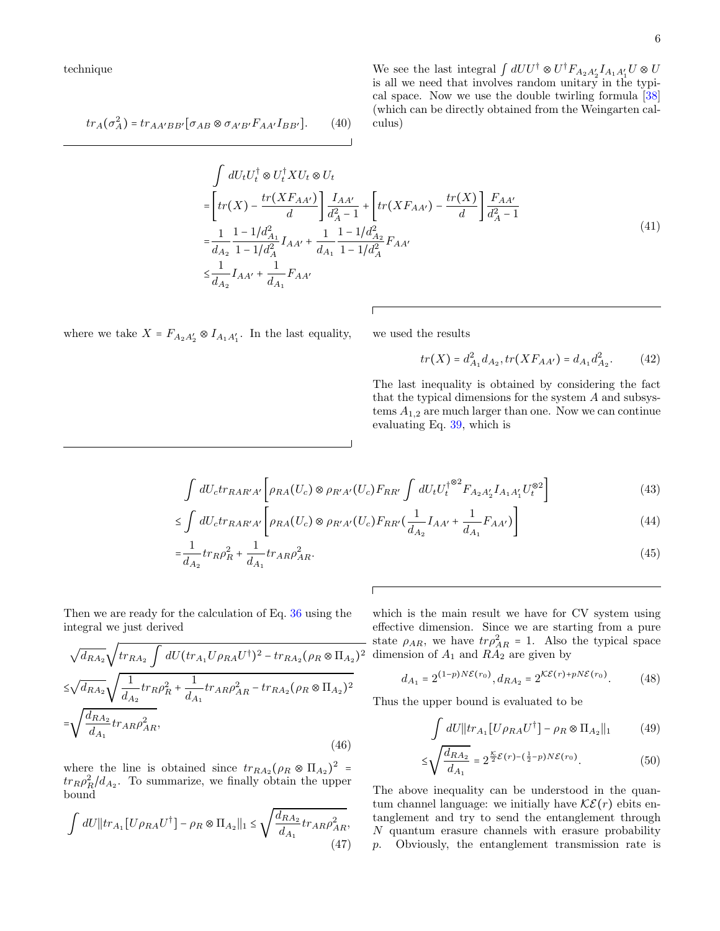technique

$$
tr_A(\sigma_A^2) = tr_{AA'BB'}[\sigma_{AB} \otimes \sigma_{A'B'} F_{AA'} I_{BB'}]. \tag{40}
$$

We see the last integral  $\int dU U^{\dagger} \otimes U^{\dagger} F_{A_2 A'_2} I_{A_1 A'_1} U \otimes U$ is all we need that involves random unitary in the typical space. Now we use the double twirling formula [\[38\]](#page-7-15) (which can be directly obtained from the Weingarten calculus)

$$
\int dU_t U_t^{\dagger} \otimes U_t^{\dagger} X U_t \otimes U_t
$$
\n
$$
= \left[ tr(X) - \frac{tr(XF_{AA'})}{d} \right] \frac{I_{AA'}}{d_A^2 - 1} + \left[ tr(XF_{AA'}) - \frac{tr(X)}{d} \right] \frac{F_{AA'}}{d_A^2 - 1}
$$
\n
$$
= \frac{1}{d_{A_2}} \frac{1 - 1/d_{A_1}^2}{1 - 1/d_A^2} I_{AA'} + \frac{1}{d_{A_1}} \frac{1 - 1/d_{A_2}^2}{1 - 1/d_A^2} F_{AA'}
$$
\n
$$
\leq \frac{1}{d_{A_2}} I_{AA'} + \frac{1}{d_{A_1}} F_{AA'}
$$
\n(41)

where we take  $X = F_{A_2 A'_2} \otimes I_{A_1 A'_1}$ . In the last equality, we used the results

$$
tr(X) = d_{A_1}^2 d_{A_2}, tr(XF_{AA'}) = d_{A_1}d_{A_2}^2.
$$
 (42)

The last inequality is obtained by considering the fact that the typical dimensions for the system A and subsystems  $A_{1,2}$  are much larger than one. Now we can continue evaluating Eq. [39,](#page-4-4) which is

$$
\int dU_c tr_{RAR'A'} \left[ \rho_{RA}(U_c) \otimes \rho_{R'A'}(U_c) F_{RR'} \int dU_t U_t^{\dagger \otimes 2} F_{A_2 A'_2} I_{A_1 A'_1} U_t^{\otimes 2} \right]
$$
\n(43)

$$
\leq \int dU_c tr_{RAR'A'} \left[ \rho_{RA}(U_c) \otimes \rho_{R'A'}(U_c) F_{RR'} \left( \frac{1}{d_{A_2}} I_{AA'} + \frac{1}{d_{A_1}} F_{AA'} \right) \right] \tag{44}
$$

$$
=\frac{1}{d_{A_2}}tr_R\rho_R^2 + \frac{1}{d_{A_1}}tr_{AR}\rho_{AR}^2.
$$
\n(45)

Then we are ready for the calculation of Eq. [36](#page-4-5) using the integral we just derived

$$
\sqrt{d_{RA_2}} \sqrt{tr_{RA_2} \int dU (tr_{A_1} U \rho_{RA} U^{\dagger})^2 - tr_{RA_2} (\rho_R \otimes \Pi_{A_2})^2}
$$
  
\n
$$
\leq \sqrt{d_{RA_2}} \sqrt{\frac{1}{d_{A_2}} tr_{RP} \rho_R^2 + \frac{1}{d_{A_1}} tr_{AR} \rho_{AR}^2 - tr_{RA_2} (\rho_R \otimes \Pi_{A_2})^2}
$$
  
\n
$$
= \sqrt{\frac{d_{RA_2}}{d_{A_1}} tr_{AR} \rho_{AR}^2},
$$
\n(46)

where the line is obtained since  $tr_{RA_2}(\rho_R \otimes \Pi_{A_2})^2$  =  $tr_R \rho_R^2 / d_{A_2}$ . To summarize, we finally obtain the upper bound

$$
\int dU ||tr_{A_1}[U\rho_{RA}U^{\dagger}] - \rho_R \otimes \Pi_{A_2}||_1 \le \sqrt{\frac{d_{RA_2}}{d_{A_1}} tr_{AR} \rho_{AR}^2},
$$
\n(47)

which is the main result we have for CV system using effective dimension. Since we are starting from a pure state  $\rho_{AR}$ , we have  $tr\rho_{AR}^2 = 1$ . Also the typical space dimension of  $A_1$  and  $RA_2$  are given by

$$
d_{A_1} = 2^{(1-p)N\mathcal{E}(r_0)}, d_{RA_2} = 2^{\mathcal{KE}(r) + pN\mathcal{E}(r_0)}.
$$
 (48)

Thus the upper bound is evaluated to be

$$
\int dU \, ||tr_{A_1}[U\rho_{RA}U^{\dagger}] - \rho_R \otimes \Pi_{A_2}||_1 \tag{49}
$$

$$
\leq \sqrt{\frac{d_{RA_2}}{d_{A_1}}} = 2^{\frac{\kappa}{2}\mathcal{E}(r) - (\frac{1}{2} - p)N\mathcal{E}(r_0)}.
$$
\n(50)

The above inequality can be understood in the quantum channel language: we initially have  $\mathcal{KE}(r)$  ebits entanglement and try to send the entanglement through N quantum erasure channels with erasure probability p. Obviously, the entanglement transmission rate is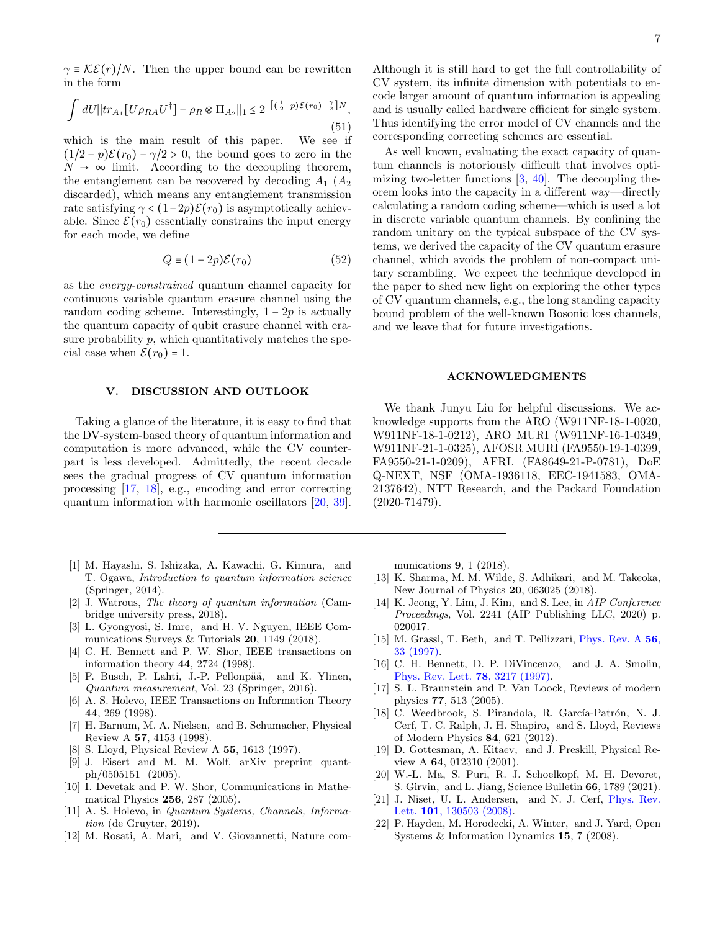$\gamma \equiv \mathcal{KE}(r)/N$ . Then the upper bound can be rewritten in the form

$$
\int dU \left\| \operatorname{tr}_{A_1} \left[ U \rho_{RA} U^{\dagger} \right] - \rho_R \otimes \Pi_{A_2} \right\|_1 \leq 2^{-\left[ \left( \frac{1}{2} - p \right) \mathcal{E}(r_0) - \frac{\gamma}{2} \right] N},\tag{51}
$$

which is the main result of this paper. We see if  $(1/2 - p)\mathcal{E}(r_0) - \gamma/2 > 0$ , the bound goes to zero in the  $N \rightarrow \infty$  limit. According to the decoupling theorem, the entanglement can be recovered by decoding  $A_1$  ( $A_2$ ) discarded), which means any entanglement transmission rate satisfying  $\gamma < (1-2p)\mathcal{E}(r_0)$  is asymptotically achievable. Since  $\mathcal{E}(r_0)$  essentially constrains the input energy for each mode, we define

$$
Q \equiv (1 - 2p)\mathcal{E}(r_0) \tag{52}
$$

as the energy-constrained quantum channel capacity for continuous variable quantum erasure channel using the random coding scheme. Interestingly,  $1 - 2p$  is actually the quantum capacity of qubit erasure channel with erasure probability  $p$ , which quantitatively matches the special case when  $\mathcal{E}(r_0) = 1$ .

# V. DISCUSSION AND OUTLOOK

Taking a glance of the literature, it is easy to find that the DV-system-based theory of quantum information and computation is more advanced, while the CV counterpart is less developed. Admittedly, the recent decade sees the gradual progress of CV quantum information processing [\[17,](#page-6-12) [18\]](#page-6-16), e.g., encoding and error correcting quantum information with harmonic oscillators [\[20,](#page-6-13) [39\]](#page-7-16).

- <span id="page-6-0"></span>[1] M. Hayashi, S. Ishizaka, A. Kawachi, G. Kimura, and T. Ogawa, Introduction to quantum information science (Springer, 2014).
- [2] J. Watrous, The theory of quantum information (Cambridge university press, 2018).
- <span id="page-6-5"></span>[3] L. Gyongyosi, S. Imre, and H. V. Nguyen, IEEE Communications Surveys & Tutorials 20, 1149 (2018).
- <span id="page-6-1"></span>[4] C. H. Bennett and P. W. Shor, IEEE transactions on information theory 44, 2724 (1998).
- <span id="page-6-2"></span>[5] P. Busch, P. Lahti, J.-P. Pellonpää, and K. Ylinen, Quantum measurement, Vol. 23 (Springer, 2016).
- <span id="page-6-3"></span>[6] A. S. Holevo, IEEE Transactions on Information Theory 44, 269 (1998).
- [7] H. Barnum, M. A. Nielsen, and B. Schumacher, Physical Review A 57, 4153 (1998).
- <span id="page-6-4"></span>[8] S. Lloyd, Physical Review A 55, 1613 (1997).
- <span id="page-6-6"></span>[9] J. Eisert and M. M. Wolf, arXiv preprint quantph/0505151 (2005).
- [10] I. Devetak and P. W. Shor, Communications in Mathematical Physics 256, 287 (2005).
- <span id="page-6-7"></span>[11] A. S. Holevo, in *Quantum Systems, Channels, Informa*tion (de Gruyter, 2019).
- <span id="page-6-8"></span>[12] M. Rosati, A. Mari, and V. Giovannetti, Nature com-

Although it is still hard to get the full controllability of CV system, its infinite dimension with potentials to encode larger amount of quantum information is appealing and is usually called hardware efficient for single system. Thus identifying the error model of CV channels and the corresponding correcting schemes are essential.

As well known, evaluating the exact capacity of quantum channels is notoriously difficult that involves optimizing two-letter functions  $[3, 40]$  $[3, 40]$  $[3, 40]$ . The decoupling theorem looks into the capacity in a different way—directly calculating a random coding scheme—which is used a lot in discrete variable quantum channels. By confining the random unitary on the typical subspace of the CV systems, we derived the capacity of the CV quantum erasure channel, which avoids the problem of non-compact unitary scrambling. We expect the technique developed in the paper to shed new light on exploring the other types of CV quantum channels, e.g., the long standing capacity bound problem of the well-known Bosonic loss channels, and we leave that for future investigations.

# ACKNOWLEDGMENTS

We thank Junyu Liu for helpful discussions. We acknowledge supports from the ARO (W911NF-18-1-0020, W911NF-18-1-0212), ARO MURI (W911NF-16-1-0349, W911NF-21-1-0325), AFOSR MURI (FA9550-19-1-0399, FA9550-21-1-0209), AFRL (FA8649-21-P-0781), DoE Q-NEXT, NSF (OMA-1936118, EEC-1941583, OMA-2137642), NTT Research, and the Packard Foundation (2020-71479).

munications 9, 1 (2018).

- [13] K. Sharma, M. M. Wilde, S. Adhikari, and M. Takeoka, New Journal of Physics 20, 063025 (2018).
- <span id="page-6-9"></span>[14] K. Jeong, Y. Lim, J. Kim, and S. Lee, in AIP Conference Proceedings, Vol. 2241 (AIP Publishing LLC, 2020) p. 020017.
- <span id="page-6-10"></span>[15] M. Grassl, T. Beth, and T. Pellizzari, [Phys. Rev. A](http://dx.doi.org/10.1103/PhysRevA.56.33) 56, [33 \(1997\).](http://dx.doi.org/10.1103/PhysRevA.56.33)
- <span id="page-6-11"></span>[16] C. H. Bennett, D. P. DiVincenzo, and J. A. Smolin, [Phys. Rev. Lett.](http://dx.doi.org/10.1103/PhysRevLett.78.3217) 78, 3217 (1997).
- <span id="page-6-12"></span>[17] S. L. Braunstein and P. Van Loock, Reviews of modern physics 77, 513 (2005).
- <span id="page-6-16"></span>[18] C. Weedbrook, S. Pirandola, R. García-Patrón, N. J. Cerf, T. C. Ralph, J. H. Shapiro, and S. Lloyd, Reviews of Modern Physics 84, 621 (2012).
- [19] D. Gottesman, A. Kitaev, and J. Preskill, Physical Review A 64, 012310 (2001).
- <span id="page-6-13"></span>[20] W.-L. Ma, S. Puri, R. J. Schoelkopf, M. H. Devoret, S. Girvin, and L. Jiang, Science Bulletin 66, 1789 (2021).
- <span id="page-6-14"></span>[21] J. Niset, U. L. Andersen, and N. J. Cerf, [Phys. Rev.](http://dx.doi.org/10.1103/PhysRevLett.101.130503) Lett. 101[, 130503 \(2008\).](http://dx.doi.org/10.1103/PhysRevLett.101.130503)
- <span id="page-6-15"></span>[22] P. Hayden, M. Horodecki, A. Winter, and J. Yard, Open Systems & Information Dynamics 15, 7 (2008).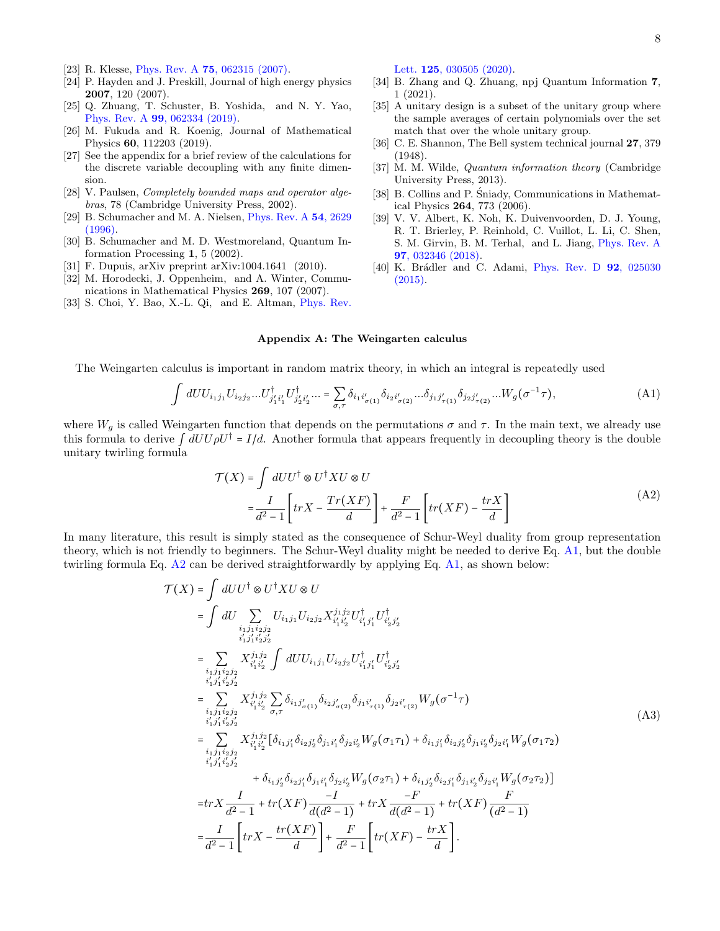- <span id="page-7-0"></span>[23] R. Klesse, Phys. Rev. A 75[, 062315 \(2007\).](http://dx.doi.org/10.1103/PhysRevA.75.062315)
- <span id="page-7-1"></span>[24] P. Hayden and J. Preskill, Journal of high energy physics 2007, 120 (2007).
- <span id="page-7-2"></span>[25] Q. Zhuang, T. Schuster, B. Yoshida, and N. Y. Yao, Phys. Rev. A 99[, 062334 \(2019\).](http://dx.doi.org/10.1103/PhysRevA.99.062334)
- <span id="page-7-3"></span>[26] M. Fukuda and R. Koenig, Journal of Mathematical Physics 60, 112203 (2019).
- <span id="page-7-4"></span>[27] See the appendix for a brief review of the calculations for the discrete variable decoupling with any finite dimension.
- <span id="page-7-5"></span>[28] V. Paulsen, *Completely bounded maps and operator alge*bras, 78 (Cambridge University Press, 2002).
- <span id="page-7-6"></span>[29] B. Schumacher and M. A. Nielsen, [Phys. Rev. A](http://dx.doi.org/10.1103/PhysRevA.54.2629) 54, 2629 [\(1996\).](http://dx.doi.org/10.1103/PhysRevA.54.2629)
- <span id="page-7-7"></span>[30] B. Schumacher and M. D. Westmoreland, Quantum Information Processing 1, 5 (2002).
- <span id="page-7-8"></span>[31] F. Dupuis, arXiv preprint arXiv:1004.1641 (2010).
- <span id="page-7-9"></span>[32] M. Horodecki, J. Oppenheim, and A. Winter, Communications in Mathematical Physics 269, 107 (2007).
- <span id="page-7-10"></span>[33] S. Choi, Y. Bao, X.-L. Qi, and E. Altman, [Phys. Rev.](http://dx.doi.org/ 10.1103/PhysRevLett.125.030505)

Lett. **125**[, 030505 \(2020\).](http://dx.doi.org/ 10.1103/PhysRevLett.125.030505)

- <span id="page-7-11"></span>[34] B. Zhang and Q. Zhuang, npj Quantum Information 7, 1 (2021).
- <span id="page-7-12"></span>[35] A unitary design is a subset of the unitary group where the sample averages of certain polynomials over the set match that over the whole unitary group.
- <span id="page-7-13"></span>[36] C. E. Shannon, The Bell system technical journal 27, 379 (1948).
- <span id="page-7-14"></span>[37] M. M. Wilde, Quantum information theory (Cambridge University Press, 2013).
- <span id="page-7-15"></span>[38] B. Collins and P. Śniady, Communications in Mathematical Physics 264, 773 (2006).
- <span id="page-7-16"></span>[39] V. V. Albert, K. Noh, K. Duivenvoorden, D. J. Young, R. T. Brierley, P. Reinhold, C. Vuillot, L. Li, C. Shen, S. M. Girvin, B. M. Terhal, and L. Jiang, [Phys. Rev. A](http://dx.doi.org/10.1103/PhysRevA.97.032346) 97[, 032346 \(2018\).](http://dx.doi.org/10.1103/PhysRevA.97.032346)
- <span id="page-7-17"></span>[40] K. Brádler and C. Adami, [Phys. Rev. D](http://dx.doi.org/10.1103/PhysRevD.92.025030) 92, 025030 [\(2015\).](http://dx.doi.org/10.1103/PhysRevD.92.025030)

## Appendix A: The Weingarten calculus

The Weingarten calculus is important in random matrix theory, in which an integral is repeatedly used

<span id="page-7-18"></span>
$$
\int dU U_{i_1 j_1} U_{i_2 j_2} \dots U_{j'_1 i'_1}^\dagger U_{j'_2 i'_2}^\dagger \dots = \sum_{\sigma,\tau} \delta_{i_1 i'_{\sigma(1)}} \delta_{i_2 i'_{\sigma(2)}} \dots \delta_{j_1 j'_{\tau(1)}} \delta_{j_2 j'_{\tau(2)}} \dots W_g(\sigma^{-1} \tau), \tag{A1}
$$

where  $W_g$  is called Weingarten function that depends on the permutations  $\sigma$  and  $\tau$ . In the main text, we already use this formula to derive  $\int dU U \rho U^{\dagger} = I/d$ . Another formula that appears frequently in decoupling theory is the double unitary twirling formula

$$
\mathcal{T}(X) = \int dU U^{\dagger} \otimes U^{\dagger} X U \otimes U
$$

$$
= \frac{I}{d^2 - 1} \left[ trX - \frac{Tr(XF)}{d} \right] + \frac{F}{d^2 - 1} \left[ tr(XF) - \frac{trX}{d} \right]
$$
(A2)

<span id="page-7-19"></span>In many literature, this result is simply stated as the consequence of Schur-Weyl duality from group representation theory, which is not friendly to beginners. The Schur-Weyl duality might be needed to derive Eq. [A1,](#page-7-18) but the double twirling formula Eq. [A2](#page-7-19) can be derived straightforwardly by applying Eq. [A1,](#page-7-18) as shown below:

$$
\mathcal{T}(X) = \int dU U^{\dagger} \otimes U^{\dagger} X U \otimes U
$$
\n
$$
= \int dU \sum_{\substack{i_1 j_1 i_2 j_2 \\ i'_1 j'_1 i'_2 j'_2}} U_{i_1 j_1} U_{i_2 j_2} X_{i'_1 i'_2}^{j_1 j_2} U_{i'_1 j'_1}^{\dagger} U_{i'_2 j'_2}^{\dagger}
$$
\n
$$
= \sum_{\substack{i_1 j_1 i_2 j_2 \\ i'_1 j'_1 i'_2 j'_2}} X_{i'_1 i'_2}^{j_1 j_2} \int dU U_{i_1 j_1} U_{i_2 j_2} U_{i'_1 j'_1}^{\dagger} U_{i'_2 j'_2}^{\dagger}
$$
\n
$$
= \sum_{\substack{i_1 j_1 i_2 j_2 \\ i'_1 j'_1 i'_2 j'_2}} X_{i'_1 i'_2}^{j_1 j_2} \sum_{\sigma,\tau} \delta_{i_1 j'_{\sigma(1)}} \delta_{i_2 j'_{\sigma(2)}} \delta_{j_1 i'_{\tau(1)}} \delta_{j_2 i'_{\tau(2)}} W_g(\sigma^{-1}\tau)
$$
\n
$$
= \sum_{\substack{i_1 j_1 i_2 j_2 \\ i'_1 j'_1 i'_2 j'_2}} X_{i'_1 i'_2}^{j_1 j_2} [\delta_{i_1 j'_1} \delta_{i_2 j'_2} \delta_{j_1 i'_1} \delta_{j_2 i'_2} W_g(\sigma_1\tau_1) + \delta_{i_1 j'_1} \delta_{i_2 j'_2} \delta_{j_1 i'_2} \delta_{j_2 i'_1} W_g(\sigma_1\tau_2)
$$
\n
$$
= \sum_{\substack{i_1 j_1 i_2 j_2 \\ i'_1 j'_1 i'_2 j'_2}} X_{i'_1 i'_2}^{j_1 j_2} [\delta_{i_1 j'_1} \delta_{i_2 j'_2} W_g(\sigma_2\tau_1) + \delta_{i_1 j'_2} \delta_{i_2 j'_1} \delta_{j_1 i'_2} \delta_{j_2 i'_1} W_g(\sigma_2\tau_2)]
$$
\n
$$
= tr X \frac{I}{d^2 - 1} + tr(XF) \frac{-I}{d(d^2 - 1)} + tr X \frac{-F}{d(d^2 - 1)} + tr(XF) \frac{trX}{(d
$$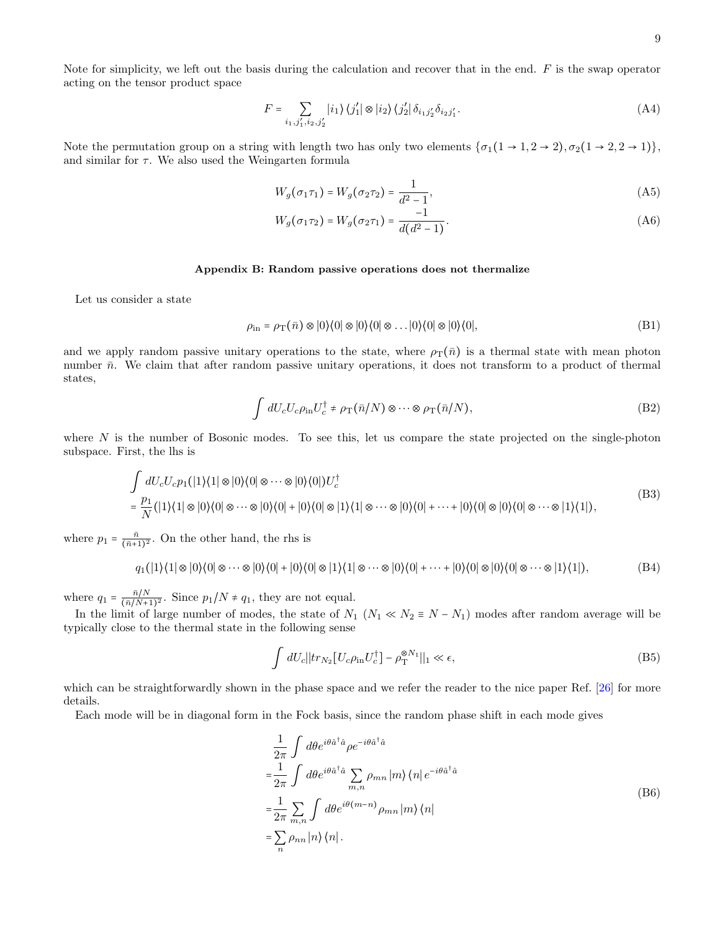$$
F = \sum_{i_1, j_1', i_2, j_2'} |i_1\rangle \langle j_1'| \otimes |i_2\rangle \langle j_2'| \delta_{i_1 j_2'} \delta_{i_2 j_1'}.
$$
 (A4)

Note the permutation group on a string with length two has only two elements  $\{\sigma_1(1 \to 1, 2 \to 2), \sigma_2(1 \to 2, 2 \to 1)\}\,$ and similar for  $\tau$ . We also used the Weingarten formula

$$
W_g(\sigma_1 \tau_1) = W_g(\sigma_2 \tau_2) = \frac{1}{d^2 - 1},\tag{A5}
$$

$$
W_g(\sigma_1 \tau_2) = W_g(\sigma_2 \tau_1) = \frac{-1}{d(d^2 - 1)}.
$$
\n(A6)

#### Appendix B: Random passive operations does not thermalize

Let us consider a state

$$
\rho_{\rm in} = \rho_{\rm T}(\bar{n}) \otimes |0\rangle\langle 0| \otimes |0\rangle\langle 0| \otimes \ldots |0\rangle\langle 0| \otimes |0\rangle\langle 0|,\tag{B1}
$$

and we apply random passive unitary operations to the state, where  $\rho_T(\bar{n})$  is a thermal state with mean photon number  $\bar{n}$ . We claim that after random passive unitary operations, it does not transform to a product of thermal states,

$$
\int dU_c U_c \rho_{\rm in} U_c^{\dagger} \neq \rho_{\rm T} (\bar{n}/N) \otimes \cdots \otimes \rho_{\rm T} (\bar{n}/N), \tag{B2}
$$

where  $N$  is the number of Bosonic modes. To see this, let us compare the state projected on the single-photon subspace. First, the lhs is

$$
\int dU_c U_c p_1(|1\rangle\langle 1| \otimes |0\rangle\langle 0| \otimes \cdots \otimes |0\rangle\langle 0|) U_c^{\dagger} \n= \frac{p_1}{N} (|1\rangle\langle 1| \otimes |0\rangle\langle 0| \otimes \cdots \otimes |0\rangle\langle 0| + |0\rangle\langle 0| \otimes |1\rangle\langle 1| \otimes \cdots \otimes |0\rangle\langle 0| + \cdots + |0\rangle\langle 0| \otimes |0\rangle\langle 0| \otimes \cdots \otimes |1\rangle\langle 1|),
$$
\n(B3)

where  $p_1 = \frac{\bar{n}}{(\bar{n}+1)^2}$ . On the other hand, the rhs is

$$
q_1(|1\rangle\langle 1| \otimes |0\rangle\langle 0| \otimes \cdots \otimes |0\rangle\langle 0| + |0\rangle\langle 0| \otimes |1\rangle\langle 1| \otimes \cdots \otimes |0\rangle\langle 0| + \cdots + |0\rangle\langle 0| \otimes |0\rangle\langle 0| \otimes \cdots \otimes |1\rangle\langle 1|),
$$
 (B4)

where  $q_1 = \frac{\bar{n}/N}{(\bar{n}/N+1)}$  $\frac{n/N}{(\bar{n}/N+1)^2}$ . Since  $p_1/N \neq q_1$ , they are not equal.

In the limit of large number of modes, the state of  $N_1$  ( $N_1 \ll N_2 \equiv N - N_1$ ) modes after random average will be typically close to the thermal state in the following sense

$$
\int dU_c ||tr_{N_2}[U_c \rho_{\rm in} U_c^{\dagger}] - \rho_{\rm T}^{\otimes N_1}||_1 \ll \epsilon,
$$
\n(B5)

which can be straightforwardly shown in the phase space and we refer the reader to the nice paper Ref. [\[26\]](#page-7-3) for more details.

Each mode will be in diagonal form in the Fock basis, since the random phase shift in each mode gives

$$
\frac{1}{2\pi} \int d\theta e^{i\theta \hat{a}^\dagger \hat{a}} \rho e^{-i\theta \hat{a}^\dagger \hat{a}} \n= \frac{1}{2\pi} \int d\theta e^{i\theta \hat{a}^\dagger \hat{a}} \sum_{m,n} \rho_{mn} |m\rangle \langle n| e^{-i\theta \hat{a}^\dagger \hat{a}} \n= \frac{1}{2\pi} \sum_{m,n} \int d\theta e^{i\theta(m-n)} \rho_{mn} |m\rangle \langle n| \n= \sum_n \rho_{nn} |n\rangle \langle n|.
$$
\n(B6)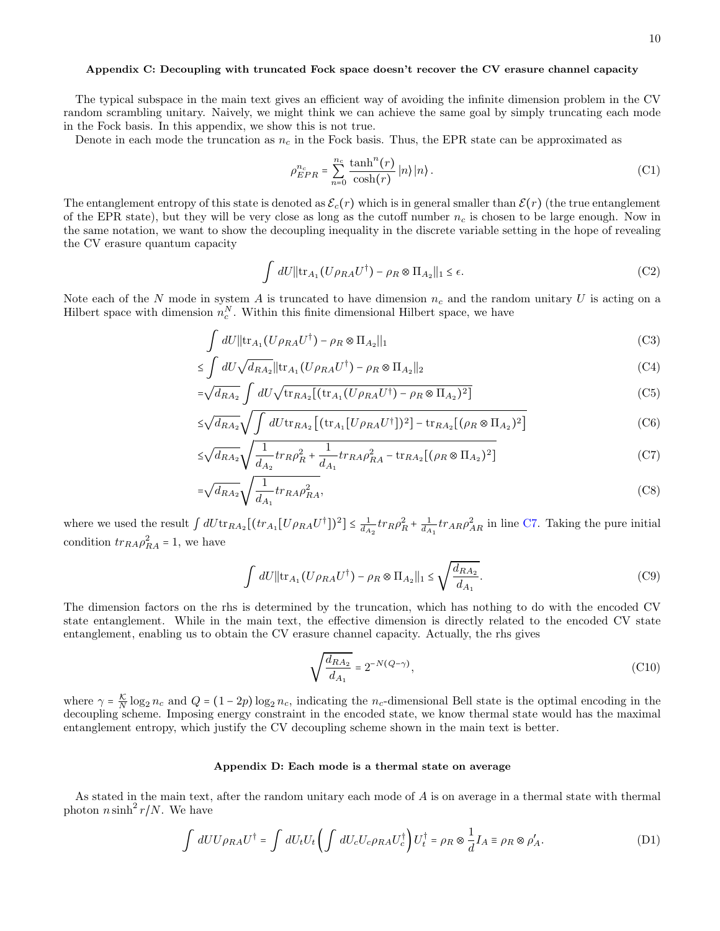# Appendix C: Decoupling with truncated Fock space doesn't recover the CV erasure channel capacity

The typical subspace in the main text gives an efficient way of avoiding the infinite dimension problem in the CV random scrambling unitary. Naively, we might think we can achieve the same goal by simply truncating each mode in the Fock basis. In this appendix, we show this is not true.

Denote in each mode the truncation as  $n_c$  in the Fock basis. Thus, the EPR state can be approximated as

$$
\rho_{EPR}^{n_c} = \sum_{n=0}^{n_c} \frac{\tanh^n(r)}{\cosh(r)} |n\rangle |n\rangle.
$$
 (C1)

The entanglement entropy of this state is denoted as  $\mathcal{E}_c(r)$  which is in general smaller than  $\mathcal{E}(r)$  (the true entanglement of the EPR state), but they will be very close as long as the cutoff number  $n_c$  is chosen to be large enough. Now in the same notation, we want to show the decoupling inequality in the discrete variable setting in the hope of revealing the CV erasure quantum capacity

$$
\int dU \|\text{tr}_{A_1}(U\rho_{RA}U^{\dagger}) - \rho_R \otimes \Pi_{A_2}\|_1 \le \epsilon.
$$
 (C2)

Note each of the N mode in system A is truncated to have dimension  $n_c$  and the random unitary U is acting on a Hilbert space with dimension  $n_c^N$ . Within this finite dimensional Hilbert space, we have

$$
\int dU \|\text{tr}_{A_1}(U\rho_{RA}U^{\dagger}) - \rho_R \otimes \Pi_{A_2}\|_1
$$
\n(C3)

$$
\leq \int dU \sqrt{d_{RA_2}} ||tr_{A_1}(U \rho_{RA} U^{\dagger}) - \rho_R \otimes \Pi_{A_2}||_2
$$
 (C4)

$$
=\sqrt{d_{RA_2}}\int dU\sqrt{\text{tr}_{RA_2}[(\text{tr}_{A_1}(U\rho_{RA}U^{\dagger})-\rho_R\otimes\Pi_{A_2})^2]}
$$
(C5)

$$
\leq \sqrt{d_{RA_2}} \sqrt{\int dU \text{tr}_{RA_2} \left[ (\text{tr}_{A_1} [U \rho_{RA} U^{\dagger}])^2 \right] - \text{tr}_{RA_2} [(\rho_R \otimes \Pi_{A_2})^2]}
$$
(C6)

$$
\leq \sqrt{d_{RA_2}} \sqrt{\frac{1}{d_{A_2}} tr_R \rho_R^2 + \frac{1}{d_{A_1}} tr_{RA} \rho_{RA}^2 - tr_{RA_2} [(\rho_R \otimes \Pi_{A_2})^2]}
$$
(C7)

$$
=\sqrt{d_{RA_2}}\sqrt{\frac{1}{d_{A_1}}tr_{RA}\rho_{RA}^2},\tag{C8}
$$

where we used the result  $\int dU \text{tr}_{RA_2}[(tr_{A_1}[U\rho_{RA}U^{\dagger}])^2] \leq \frac{1}{d_{A_2}} tr_{R} \rho_R^2 + \frac{1}{d_{A_1}} tr_{AR} \rho_{AR}^2$  in line [C7.](#page-9-0) Taking the pure initial condition  $tr_{RA} \rho_{RA}^2 = 1$ , we have

$$
\int dU ||\text{tr}_{A_1}(U\rho_{RA}U^{\dagger}) - \rho_R \otimes \Pi_{A_2}||_1 \le \sqrt{\frac{d_{RA_2}}{d_{A_1}}}.
$$
 (C9)

The dimension factors on the rhs is determined by the truncation, which has nothing to do with the encoded CV state entanglement. While in the main text, the effective dimension is directly related to the encoded CV state entanglement, enabling us to obtain the CV erasure channel capacity. Actually, the rhs gives

<span id="page-9-0"></span>
$$
\sqrt{\frac{d_{RA_2}}{d_{A_1}}} = 2^{-N(Q-\gamma)},\tag{C10}
$$

where  $\gamma = \frac{\kappa}{N} \log_2 n_c$  and  $Q = (1 - 2p) \log_2 n_c$ , indicating the n<sub>c</sub>-dimensional Bell state is the optimal encoding in the decoupling scheme. Imposing energy constraint in the encoded state, we know thermal state would has the maximal entanglement entropy, which justify the CV decoupling scheme shown in the main text is better.

### Appendix D: Each mode is a thermal state on average

As stated in the main text, after the random unitary each mode of A is on average in a thermal state with thermal photon  $n \sinh^2 r/N$ . We have

$$
\int dU U \rho_{RA} U^{\dagger} = \int dU_t U_t \left( \int dU_c U_c \rho_{RA} U_c^{\dagger} \right) U_t^{\dagger} = \rho_R \otimes \frac{1}{d} I_A \equiv \rho_R \otimes \rho'_A. \tag{D1}
$$